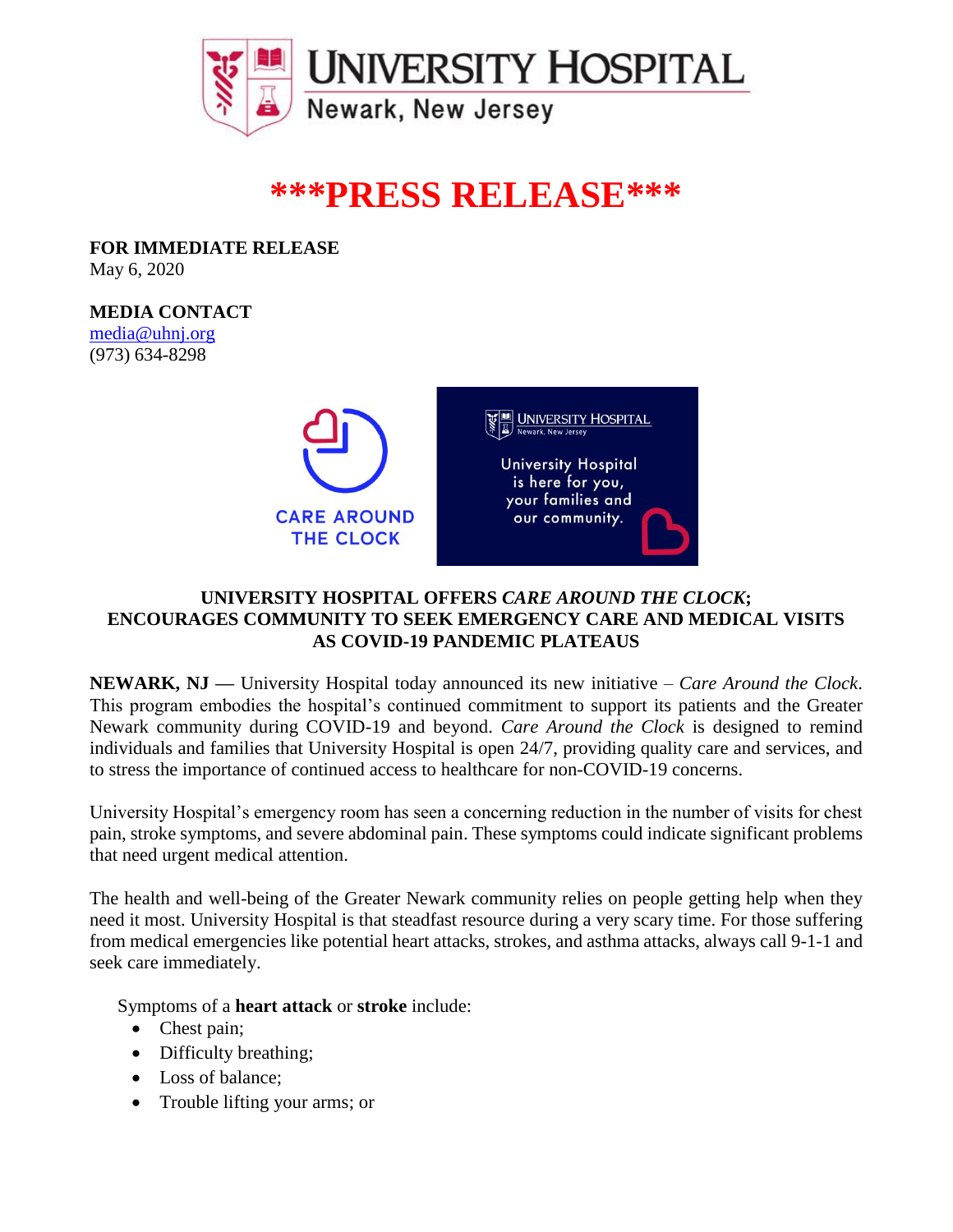

## **\*\*\*PRESS RELEASE\*\*\***

**FOR IMMEDIATE RELEASE** May 6, 2020

**MEDIA CONTACT** [media@uhnj.org](mailto:media@uhnj.org) (973) 634-8298



## **UNIVERSITY HOSPITAL OFFERS** *CARE AROUND THE CLOCK***; ENCOURAGES COMMUNITY TO SEEK EMERGENCY CARE AND MEDICAL VISITS AS COVID-19 PANDEMIC PLATEAUS**

**NEWARK, NJ —** University Hospital today announced its new initiative – *Care Around the Clock*. This program embodies the hospital's continued commitment to support its patients and the Greater Newark community during COVID-19 and beyond. *Care Around the Clock* is designed to remind individuals and families that University Hospital is open 24/7, providing quality care and services, and to stress the importance of continued access to healthcare for non-COVID-19 concerns.

University Hospital's emergency room has seen a concerning reduction in the number of visits for chest pain, stroke symptoms, and severe abdominal pain. These symptoms could indicate significant problems that need urgent medical attention.

The health and well-being of the Greater Newark community relies on people getting help when they need it most. University Hospital is that steadfast resource during a very scary time. For those suffering from medical emergencies like potential heart attacks, strokes, and asthma attacks, always call 9-1-1 and seek care immediately.

Symptoms of a **heart attack** or **stroke** include:

- Chest pain;
- Difficulty breathing;
- Loss of balance;
- Trouble lifting your arms; or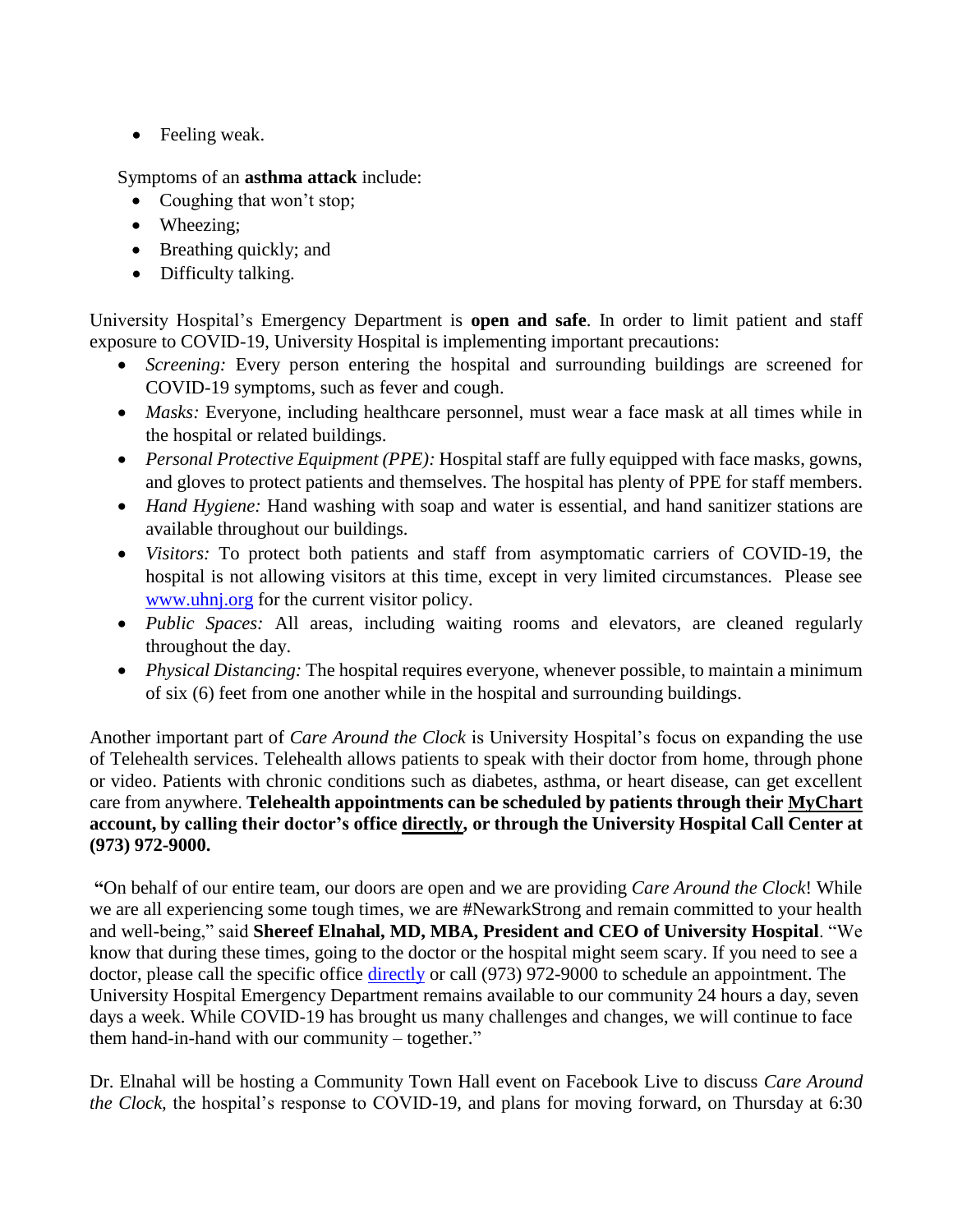• Feeling weak.

Symptoms of an **asthma attack** include:

- Coughing that won't stop;
- Wheezing:
- Breathing quickly; and
- Difficulty talking.

University Hospital's Emergency Department is **open and safe**. In order to limit patient and staff exposure to COVID-19, University Hospital is implementing important precautions:

- *Screening:* Every person entering the hospital and surrounding buildings are screened for COVID-19 symptoms, such as fever and cough.
- *Masks:* Everyone, including healthcare personnel, must wear a face mask at all times while in the hospital or related buildings.
- *Personal Protective Equipment (PPE):* Hospital staff are fully equipped with face masks, gowns, and gloves to protect patients and themselves. The hospital has plenty of PPE for staff members.
- *Hand Hygiene:* Hand washing with soap and water is essential, and hand sanitizer stations are available throughout our buildings.
- *Visitors:* To protect both patients and staff from asymptomatic carriers of COVID-19, the hospital is not allowing visitors at this time, except in very limited circumstances. Please see [www.uhnj.org](http://www.uhnj.org/) for the current visitor policy.
- *Public Spaces:* All areas, including waiting rooms and elevators, are cleaned regularly throughout the day.
- *Physical Distancing:* The hospital requires everyone, whenever possible, to maintain a minimum of six (6) feet from one another while in the hospital and surrounding buildings.

Another important part of *Care Around the Clock* is University Hospital's focus on expanding the use of Telehealth services. Telehealth allows patients to speak with their doctor from home, through phone or video. Patients with chronic conditions such as diabetes, asthma, or heart disease, can get excellent care from anywhere. **Telehealth appointments can be scheduled by patients through their [MyChart](https://nam12.safelinks.protection.outlook.com/?url=https%3A%2F%2Fmychart.uhnj.org%2FMyChart-PRD%2F&data=02%7C01%7Cbrandera%40uhnj.org%7C7540baaa6ce34dd7f60808d7f132623d%7Cc0cbdb0e31264f00a42e5a1c1137b145%7C1%7C0%7C637243071002624007&sdata=pKMKJb96bOp1vIAzYv7xHBwo%2BNX8VMZMljLG1owgOt0%3D&reserved=0) account, by calling their doctor's office [directly,](https://nam12.safelinks.protection.outlook.com/?url=http%3A%2F%2Fwww.uhnj.org%2Fcovid-19%2Ftelehealth.html&data=02%7C01%7Cbrandera%40uhnj.org%7C7540baaa6ce34dd7f60808d7f132623d%7Cc0cbdb0e31264f00a42e5a1c1137b145%7C1%7C0%7C637243071002624007&sdata=RuFgz7r8Vk%2BcMzKhW7uQ3xMMrC2mM2qOCXFgIdSzZP8%3D&reserved=0) or through the University Hospital Call Center at (973) 972-9000.** 

**"**On behalf of our entire team, our doors are open and we are providing *Care Around the Clock*! While we are all experiencing some tough times, we are #NewarkStrong and remain committed to your health and well-being," said **Shereef Elnahal, MD, MBA, President and CEO of University Hospital**. "We know that during these times, going to the doctor or the hospital might seem scary. If you need to see a doctor, please call the specific office [directly](http://www.uhnj.org/covid-19/telehealth.html) or call (973) 972-9000 to schedule an appointment. The University Hospital Emergency Department remains available to our community 24 hours a day, seven days a week. While COVID-19 has brought us many challenges and changes, we will continue to face them hand-in-hand with our community – together."

Dr. Elnahal will be hosting a Community Town Hall event on Facebook Live to discuss *Care Around the Clock,* the hospital's response to COVID-19, and plans for moving forward, on Thursday at 6:30